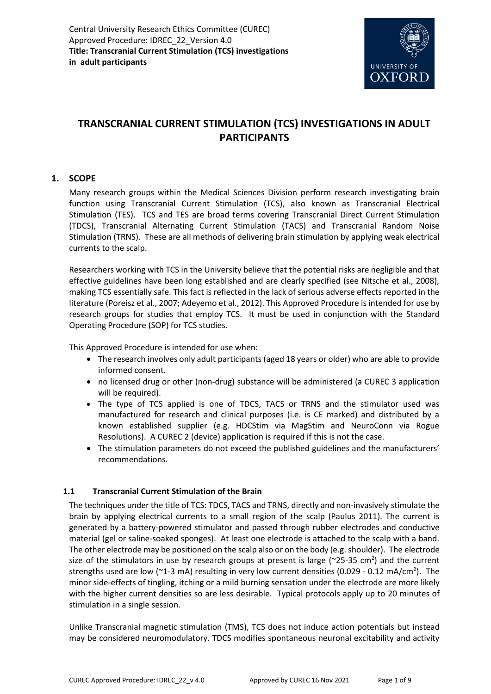

# **TRANSCRANIAL CURRENT STIMULATION (TCS) INVESTIGATIONS IN ADULT PARTICIPANTS**

### **1. SCOPE**

Many research groups within the Medical Sciences Division perform research investigating brain function using Transcranial Current Stimulation (TCS), also known as Transcranial Electrical Stimulation (TES). TCS and TES are broad terms covering Transcranial Direct Current Stimulation (TDCS), Transcranial Alternating Current Stimulation (TACS) and Transcranial Random Noise Stimulation (TRNS). These are all methods of delivering brain stimulation by applying weak electrical currents to the scalp.

Researchers working with TCS in the University believe that the potential risks are negligible and that effective guidelines have been long established and are clearly specified (see Nitsche et al., 2008), making TCS essentially safe. This fact is reflected in the lack of serious adverse effects reported in the literature (Poreisz et al., 2007; Adeyemo et al., 2012). This Approved Procedure is intended for use by research groups for studies that employ TCS. It must be used in conjunction with the Standard Operating Procedure (SOP) for TCS studies.

This Approved Procedure is intended for use when:

- The research involves only adult participants (aged 18 years or older) who are able to provide informed consent.
- no licensed drug or other (non-drug) substance will be administered (a CUREC 3 application will be required).
- The type of TCS applied is one of TDCS, TACS or TRNS and the stimulator used was manufactured for research and clinical purposes (i.e. is CE marked) and distributed by a known established supplier (e.g. HDCStim via MagStim and NeuroConn via Rogue Resolutions). A CUREC 2 (device) application is required if this is not the case.
- The stimulation parameters do not exceed the published guidelines and the manufacturers' recommendations.

### **1.1 Transcranial Current Stimulation of the Brain**

The techniques under the title of TCS: TDCS, TACS and TRNS, directly and non-invasively stimulate the brain by applying electrical currents to a small region of the scalp (Paulus 2011). The current is generated by a battery-powered stimulator and passed through rubber electrodes and conductive material (gel or saline-soaked sponges). At least one electrode is attached to the scalp with a band. The other electrode may be positioned on the scalp also or on the body (e.g. shoulder). The electrode size of the stimulators in use by research groups at present is large ( $\approx$ 25-35 cm<sup>2</sup>) and the current strengths used are low ( $\sim$ 1-3 mA) resulting in very low current densities (0.029 - 0.12 mA/cm<sup>2</sup>). The minor side-effects of tingling, itching or a mild burning sensation under the electrode are more likely with the higher current densities so are less desirable. Typical protocols apply up to 20 minutes of stimulation in a single session.

Unlike Transcranial magnetic stimulation (TMS), TCS does not induce action potentials but instead may be considered neuromodulatory. TDCS modifies spontaneous neuronal excitability and activity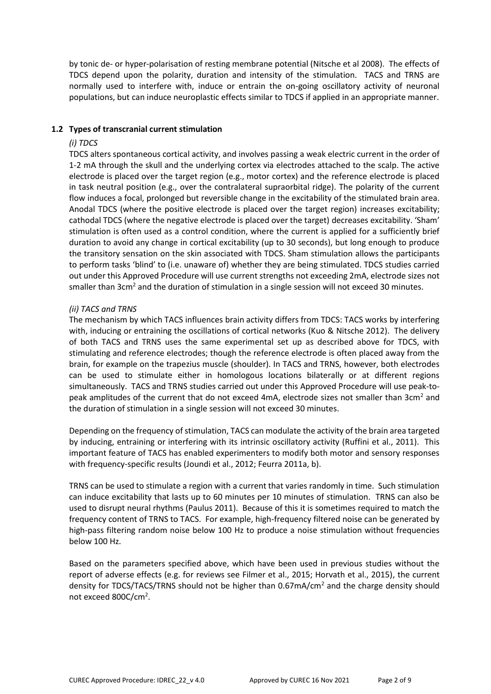by tonic de- or hyper-polarisation of resting membrane potential (Nitsche et al 2008). The effects of TDCS depend upon the polarity, duration and intensity of the stimulation. TACS and TRNS are normally used to interfere with, induce or entrain the on-going oscillatory activity of neuronal populations, but can induce neuroplastic effects similar to TDCS if applied in an appropriate manner.

#### **1.2 Types of transcranial current stimulation**

### *(i) TDCS*

TDCS alters spontaneous cortical activity, and involves passing a weak electric current in the order of 1-2 mA through the skull and the underlying cortex via electrodes attached to the scalp. The active electrode is placed over the target region (e.g., motor cortex) and the reference electrode is placed in task neutral position (e.g., over the contralateral supraorbital ridge). The polarity of the current flow induces a focal, prolonged but reversible change in the excitability of the stimulated brain area. Anodal TDCS (where the positive electrode is placed over the target region) increases excitability; cathodal TDCS (where the negative electrode is placed over the target) decreases excitability. 'Sham' stimulation is often used as a control condition, where the current is applied for a sufficiently brief duration to avoid any change in cortical excitability (up to 30 seconds), but long enough to produce the transitory sensation on the skin associated with TDCS. Sham stimulation allows the participants to perform tasks 'blind' to (i.e. unaware of) whether they are being stimulated. TDCS studies carried out under this Approved Procedure will use current strengths not exceeding 2mA, electrode sizes not smaller than 3cm<sup>2</sup> and the duration of stimulation in a single session will not exceed 30 minutes.

### *(ii) TACS and TRNS*

The mechanism by which TACS influences brain activity differs from TDCS: TACS works by interfering with, inducing or entraining the oscillations of cortical networks (Kuo & Nitsche 2012). The delivery of both TACS and TRNS uses the same experimental set up as described above for TDCS, with stimulating and reference electrodes; though the reference electrode is often placed away from the brain, for example on the trapezius muscle (shoulder). In TACS and TRNS, however, both electrodes can be used to stimulate either in homologous locations bilaterally or at different regions simultaneously. TACS and TRNS studies carried out under this Approved Procedure will use peak-topeak amplitudes of the current that do not exceed 4mA, electrode sizes not smaller than 3cm<sup>2</sup> and the duration of stimulation in a single session will not exceed 30 minutes.

Depending on the frequency of stimulation, TACS can modulate the activity of the brain area targeted by inducing, entraining or interfering with its intrinsic oscillatory activity (Ruffini et al., 2011). This important feature of TACS has enabled experimenters to modify both motor and sensory responses with frequency-specific results (Joundi et al., 2012; Feurra 2011a, b).

TRNS can be used to stimulate a region with a current that varies randomly in time. Such stimulation can induce excitability that lasts up to 60 minutes per 10 minutes of stimulation. TRNS can also be used to disrupt neural rhythms (Paulus 2011). Because of this it is sometimes required to match the frequency content of TRNS to TACS. For example, high-frequency filtered noise can be generated by high-pass filtering random noise below 100 Hz to produce a noise stimulation without frequencies below 100 Hz.

Based on the parameters specified above, which have been used in previous studies without the report of adverse effects (e.g. for reviews see Filmer et al., 2015; Horvath et al., 2015), the current density for TDCS/TACS/TRNS should not be higher than 0.67mA/cm<sup>2</sup> and the charge density should not exceed 800C/cm<sup>2</sup>.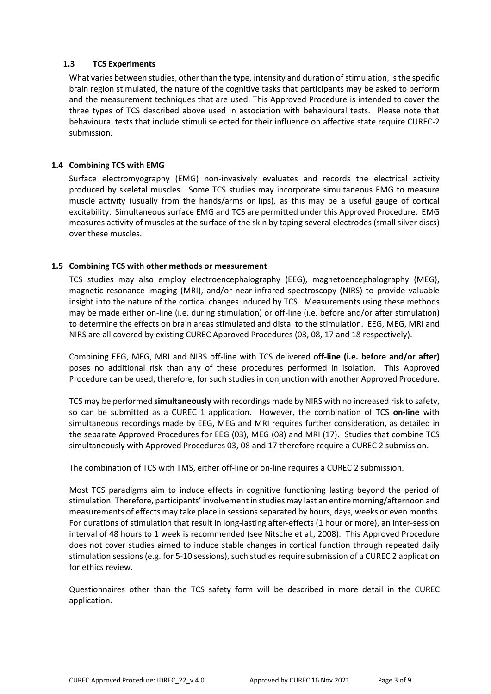### **1.3 TCS Experiments**

What varies between studies, other than the type, intensity and duration of stimulation, is the specific brain region stimulated, the nature of the cognitive tasks that participants may be asked to perform and the measurement techniques that are used. This Approved Procedure is intended to cover the three types of TCS described above used in association with behavioural tests. Please note that behavioural tests that include stimuli selected for their influence on affective state require CUREC-2 submission.

### **1.4 Combining TCS with EMG**

Surface electromyography (EMG) non-invasively evaluates and records the electrical activity produced by skeletal muscles. Some TCS studies may incorporate simultaneous EMG to measure muscle activity (usually from the hands/arms or lips), as this may be a useful gauge of cortical excitability. Simultaneous surface EMG and TCS are permitted under this Approved Procedure. EMG measures activity of muscles at the surface of the skin by taping several electrodes (small silver discs) over these muscles.

### **1.5 Combining TCS with other methods or measurement**

TCS studies may also employ electroencephalography (EEG), magnetoencephalography (MEG), magnetic resonance imaging (MRI), and/or near-infrared spectroscopy (NIRS) to provide valuable insight into the nature of the cortical changes induced by TCS. Measurements using these methods may be made either on-line (i.e. during stimulation) or off-line (i.e. before and/or after stimulation) to determine the effects on brain areas stimulated and distal to the stimulation. EEG, MEG, MRI and NIRS are all covered by existing CUREC Approved Procedures (03, 08, 17 and 18 respectively).

Combining EEG, MEG, MRI and NIRS off-line with TCS delivered **off-line (i.e. before and/or after)** poses no additional risk than any of these procedures performed in isolation. This Approved Procedure can be used, therefore, for such studies in conjunction with another Approved Procedure.

TCS may be performed **simultaneously** with recordings made by NIRS with no increased risk to safety, so can be submitted as a CUREC 1 application. However, the combination of TCS **on-line** with simultaneous recordings made by EEG, MEG and MRI requires further consideration, as detailed in the separate Approved Procedures for EEG (03), MEG (08) and MRI (17). Studies that combine TCS simultaneously with Approved Procedures 03, 08 and 17 therefore require a CUREC 2 submission.

The combination of TCS with TMS, either off-line or on-line requires a CUREC 2 submission.

Most TCS paradigms aim to induce effects in cognitive functioning lasting beyond the period of stimulation. Therefore, participants' involvement in studies may last an entire morning/afternoon and measurements of effects may take place in sessions separated by hours, days, weeks or even months. For durations of stimulation that result in long-lasting after-effects (1 hour or more), an inter-session interval of 48 hours to 1 week is recommended (see Nitsche et al., 2008). This Approved Procedure does not cover studies aimed to induce stable changes in cortical function through repeated daily stimulation sessions (e.g. for 5-10 sessions), such studies require submission of a CUREC 2 application for ethics review.

Questionnaires other than the TCS safety form will be described in more detail in the CUREC application.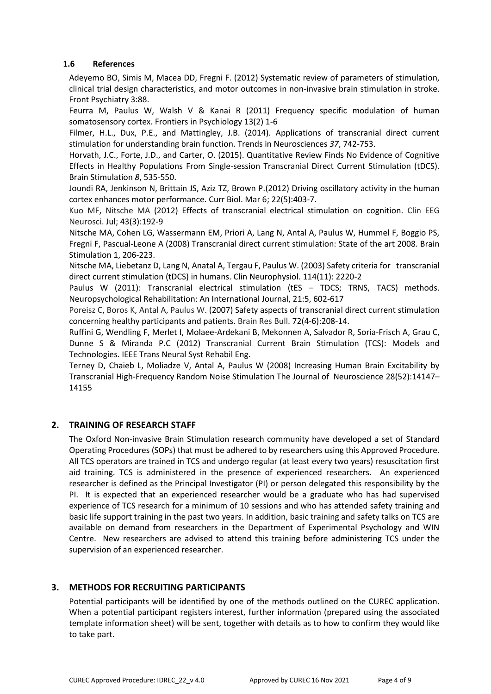### **1.6 References**

Adeyemo BO, Simis M, Macea DD, Fregni F. (2012) Systematic review of parameters of stimulation, clinical trial design characteristics, and motor outcomes in non-invasive brain stimulation in stroke. Front Psychiatry 3:88.

Feurra M, Paulus W, Walsh V & Kanai R (2011) Frequency specific modulation of human somatosensory cortex. Frontiers in Psychiology 13(2) 1-6

Filmer, H.L., Dux, P.E., and Mattingley, J.B. (2014). Applications of transcranial direct current stimulation for understanding brain function. Trends in Neurosciences *37*, 742-753.

Horvath, J.C., Forte, J.D., and Carter, O. (2015). Quantitative Review Finds No Evidence of Cognitive Effects in Healthy Populations From Single-session Transcranial Direct Current Stimulation (tDCS). Brain Stimulation *8*, 535-550.

Joundi RA, Jenkinson N, Brittain JS, Aziz TZ, Brown P.(2012) Driving oscillatory activity in the human cortex enhances motor performance. Curr Biol. Mar 6; 22(5):403-7.

[Kuo MF,](http://www.ncbi.nlm.nih.gov/pubmed?term=Kuo%20MF%5BAuthor%5D&cauthor=true&cauthor_uid=22956647) [Nitsche MA](http://www.ncbi.nlm.nih.gov/pubmed?term=Nitsche%20MA%5BAuthor%5D&cauthor=true&cauthor_uid=22956647) (2012) Effects of transcranial electrical stimulation on cognition. Clin EEG Neurosci. Jul; 43(3):192-9

Nitsche MA, Cohen LG, Wassermann EM, Priori A, Lang N, Antal A, Paulus W, Hummel F, Boggio PS, Fregni F, Pascual-Leone A (2008) Transcranial direct current stimulation: State of the art 2008. Brain Stimulation 1, 206-223.

Nitsche MA, Liebetanz D, Lang N, Anatal A, Tergau F, Paulus W. (2003) Safety criteria for transcranial direct current stimulation (tDCS) in humans. Clin Neurophysiol. 114(11): 2220-2

Paulus W (2011): Transcranial electrical stimulation (tES - TDCS; TRNS, TACS) methods. Neuropsychological Rehabilitation: An International Journal, 21:5, 602-617

[Poreisz C,](http://www.ncbi.nlm.nih.gov/pubmed?term=Poreisz%20C%5BAuthor%5D&cauthor=true&cauthor_uid=17452283) [Boros K,](http://www.ncbi.nlm.nih.gov/pubmed?term=Boros%20K%5BAuthor%5D&cauthor=true&cauthor_uid=17452283) [Antal A,](http://www.ncbi.nlm.nih.gov/pubmed?term=Antal%20A%5BAuthor%5D&cauthor=true&cauthor_uid=17452283) [Paulus W.](http://www.ncbi.nlm.nih.gov/pubmed?term=Paulus%20W%5BAuthor%5D&cauthor=true&cauthor_uid=17452283) (2007) Safety aspects of transcranial direct current stimulation concerning healthy participants and patients. Brain Res Bull. 72(4-6):208-14.

Ruffini G, Wendling F, Merlet I, Molaee-Ardekani B, Mekonnen A, Salvador R, Soria-Frisch A, Grau C, Dunne S & Miranda P.C (2012) Transcranial Current Brain Stimulation (TCS): Models and Technologies. IEEE Trans Neural Syst Rehabil Eng.

Terney D, Chaieb L, Moliadze V, Antal A, Paulus W (2008) Increasing Human Brain Excitability by Transcranial High-Frequency Random Noise Stimulation The Journal of Neuroscience 28(52):14147– 14155

### **2. TRAINING OF RESEARCH STAFF**

The Oxford Non-invasive Brain Stimulation research community have developed a set of Standard Operating Procedures (SOPs) that must be adhered to by researchers using this Approved Procedure. All TCS operators are trained in TCS and undergo regular (at least every two years) resuscitation first aid training. TCS is administered in the presence of experienced researchers. An experienced researcher is defined as the Principal Investigator (PI) or person delegated this responsibility by the PI. It is expected that an experienced researcher would be a graduate who has had supervised experience of TCS research for a minimum of 10 sessions and who has attended safety training and basic life support training in the past two years. In addition, basic training and safety talks on TCS are available on demand from researchers in the Department of Experimental Psychology and WIN Centre. New researchers are advised to attend this training before administering TCS under the supervision of an experienced researcher.

## **3. METHODS FOR RECRUITING PARTICIPANTS**

Potential participants will be identified by one of the methods outlined on the CUREC application. When a potential participant registers interest, further information (prepared using the associated template information sheet) will be sent, together with details as to how to confirm they would like to take part.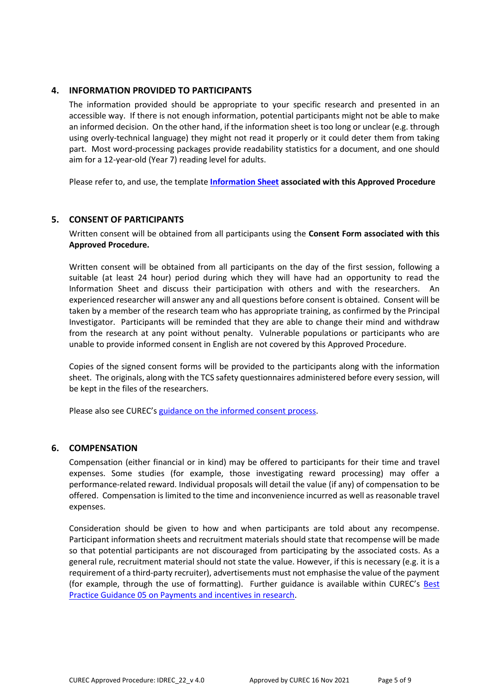### **4. INFORMATION PROVIDED TO PARTICIPANTS**

The information provided should be appropriate to your specific research and presented in an accessible way. If there is not enough information, potential participants might not be able to make an informed decision. On the other hand, if the information sheet is too long or unclear (e.g. through using overly-technical language) they might not read it properly or it could deter them from taking part. Most word-processing packages provide readability statistics for a document, and one should aim for a 12-year-old (Year 7) reading level for adults.

Please refer to, and use, the template **[Information Sheet](http://researchsupport.admin.ox.ac.uk/governance/ethics/resources/ap#collapse2-8) associated with this Approved Procedure**

### **5. CONSENT OF PARTICIPANTS**

Written consent will be obtained from all participants using the **Consent Form associated with this Approved Procedure.**

Written consent will be obtained from all participants on the day of the first session, following a suitable (at least 24 hour) period during which they will have had an opportunity to read the Information Sheet and discuss their participation with others and with the researchers. An experienced researcher will answer any and all questions before consent is obtained. Consent will be taken by a member of the research team who has appropriate training, as confirmed by the Principal Investigator. Participants will be reminded that they are able to change their mind and withdraw from the research at any point without penalty. Vulnerable populations or participants who are unable to provide informed consent in English are not covered by this Approved Procedure.

Copies of the signed consent forms will be provided to the participants along with the information sheet. The originals, along with the TCS safety questionnaires administered before every session, will be kept in the files of the researchers.

Please also see CUREC's [guidance on the informed consent process.](http://researchsupport.admin.ox.ac.uk/governance/ethics/resources/consent)

### **6. COMPENSATION**

Compensation (either financial or in kind) may be offered to participants for their time and travel expenses. Some studies (for example, those investigating reward processing) may offer a performance-related reward. Individual proposals will detail the value (if any) of compensation to be offered. Compensation is limited to the time and inconvenience incurred as well as reasonable travel expenses.

Consideration should be given to how and when participants are told about any recompense. Participant information sheets and recruitment materials should state that recompense will be made so that potential participants are not discouraged from participating by the associated costs. As a general rule, recruitment material should not state the value. However, if this is necessary (e.g. it is a requirement of a third-party recruiter), advertisements must not emphasise the value of the payment (for example, through the use of formatting). Further guidance is available within CUREC's Best [Practice Guidance 05 on Payments and incentives in research.](https://researchsupport.admin.ox.ac.uk/governance/ethics/resources/bpg)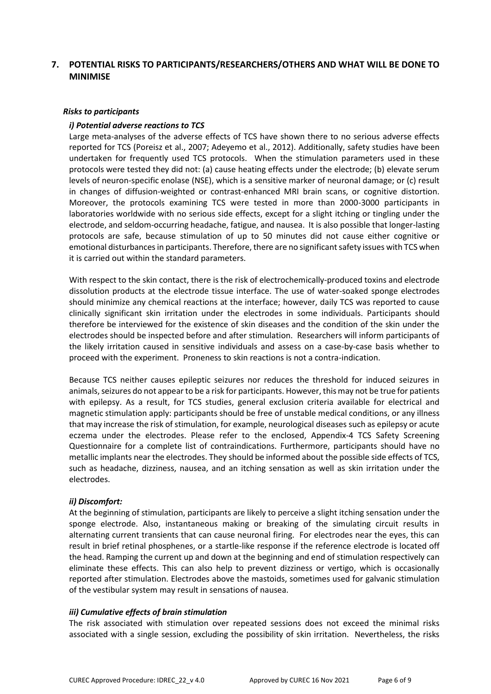### **7. POTENTIAL RISKS TO PARTICIPANTS/RESEARCHERS/OTHERS AND WHAT WILL BE DONE TO MINIMISE**

#### *Risks to participants*

#### *i) Potential adverse reactions to TCS*

Large meta-analyses of the adverse effects of TCS have shown there to no serious adverse effects reported for TCS (Poreisz et al., 2007; Adeyemo et al., 2012). Additionally, safety studies have been undertaken for frequently used TCS protocols. When the stimulation parameters used in these protocols were tested they did not: (a) cause heating effects under the electrode; (b) elevate serum levels of neuron-specific enolase (NSE), which is a sensitive marker of neuronal damage; or (c) result in changes of diffusion-weighted or contrast-enhanced MRI brain scans, or cognitive distortion. Moreover, the protocols examining TCS were tested in more than 2000-3000 participants in laboratories worldwide with no serious side effects, except for a slight itching or tingling under the electrode, and seldom-occurring headache, fatigue, and nausea. It is also possible that longer-lasting protocols are safe, because stimulation of up to 50 minutes did not cause either cognitive or emotional disturbances in participants. Therefore, there are no significant safety issues with TCS when it is carried out within the standard parameters.

With respect to the skin contact, there is the risk of electrochemically-produced toxins and electrode dissolution products at the electrode tissue interface. The use of water-soaked sponge electrodes should minimize any chemical reactions at the interface; however, daily TCS was reported to cause clinically significant skin irritation under the electrodes in some individuals. Participants should therefore be interviewed for the existence of skin diseases and the condition of the skin under the electrodes should be inspected before and after stimulation. Researchers will inform participants of the likely irritation caused in sensitive individuals and assess on a case-by-case basis whether to proceed with the experiment. Proneness to skin reactions is not a contra-indication.

Because TCS neither causes epileptic seizures nor reduces the threshold for induced seizures in animals, seizures do not appear to be a risk for participants. However, this may not be true for patients with epilepsy. As a result, for TCS studies, general exclusion criteria available for electrical and magnetic stimulation apply: participants should be free of unstable medical conditions, or any illness that may increase the risk of stimulation, for example, neurological diseases such as epilepsy or acute eczema under the electrodes. Please refer to the enclosed, Appendix-4 TCS Safety Screening Questionnaire for a complete list of contraindications. Furthermore, participants should have no metallic implants near the electrodes. They should be informed about the possible side effects of TCS, such as headache, dizziness, nausea, and an itching sensation as well as skin irritation under the electrodes.

#### *ii) Discomfort:*

At the beginning of stimulation, participants are likely to perceive a slight itching sensation under the sponge electrode. Also, instantaneous making or breaking of the simulating circuit results in alternating current transients that can cause neuronal firing. For electrodes near the eyes, this can result in brief retinal phosphenes, or a startle-like response if the reference electrode is located off the head. Ramping the current up and down at the beginning and end of stimulation respectively can eliminate these effects. This can also help to prevent dizziness or vertigo, which is occasionally reported after stimulation. Electrodes above the mastoids, sometimes used for galvanic stimulation of the vestibular system may result in sensations of nausea.

### *iii) Cumulative effects of brain stimulation*

The risk associated with stimulation over repeated sessions does not exceed the minimal risks associated with a single session, excluding the possibility of skin irritation. Nevertheless, the risks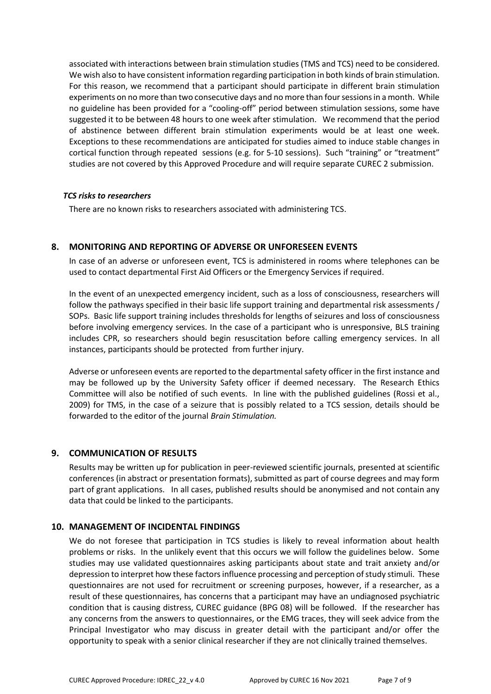associated with interactions between brain stimulation studies (TMS and TCS) need to be considered. We wish also to have consistent information regarding participation in both kinds of brain stimulation. For this reason, we recommend that a participant should participate in different brain stimulation experiments on no more than two consecutive days and no more than four sessions in a month. While no guideline has been provided for a "cooling-off" period between stimulation sessions, some have suggested it to be between 48 hours to one week after stimulation. We recommend that the period of abstinence between different brain stimulation experiments would be at least one week. Exceptions to these recommendations are anticipated for studies aimed to induce stable changes in cortical function through repeated sessions (e.g. for 5-10 sessions). Such "training" or "treatment" studies are not covered by this Approved Procedure and will require separate CUREC 2 submission.

### *TCS risks to researchers*

There are no known risks to researchers associated with administering TCS.

### **8. MONITORING AND REPORTING OF ADVERSE OR UNFORESEEN EVENTS**

In case of an adverse or unforeseen event, TCS is administered in rooms where telephones can be used to contact departmental First Aid Officers or the Emergency Services if required.

In the event of an unexpected emergency incident, such as a loss of consciousness, researchers will follow the pathways specified in their basic life support training and departmental risk assessments / SOPs. Basic life support training includes thresholds for lengths of seizures and loss of consciousness before involving emergency services. In the case of a participant who is unresponsive, BLS training includes CPR, so researchers should begin resuscitation before calling emergency services. In all instances, participants should be protected from further injury.

Adverse or unforeseen events are reported to the departmental safety officer in the first instance and may be followed up by the University Safety officer if deemed necessary. The Research Ethics Committee will also be notified of such events. In line with the published guidelines (Rossi et al., 2009) for TMS, in the case of a seizure that is possibly related to a TCS session, details should be forwarded to the editor of the journal *Brain Stimulation.*

### **9. COMMUNICATION OF RESULTS**

Results may be written up for publication in peer-reviewed scientific journals, presented at scientific conferences (in abstract or presentation formats), submitted as part of course degrees and may form part of grant applications. In all cases, published results should be anonymised and not contain any data that could be linked to the participants.

### **10. MANAGEMENT OF INCIDENTAL FINDINGS**

We do not foresee that participation in TCS studies is likely to reveal information about health problems or risks. In the unlikely event that this occurs we will follow the guidelines below. Some studies may use validated questionnaires asking participants about state and trait anxiety and/or depression to interpret how these factors influence processing and perception of study stimuli. These questionnaires are not used for recruitment or screening purposes, however, if a researcher, as a result of these questionnaires, has concerns that a participant may have an undiagnosed psychiatric condition that is causing distress, CUREC guidance (BPG 08) will be followed. If the researcher has any concerns from the answers to questionnaires, or the EMG traces, they will seek advice from the Principal Investigator who may discuss in greater detail with the participant and/or offer the opportunity to speak with a senior clinical researcher if they are not clinically trained themselves.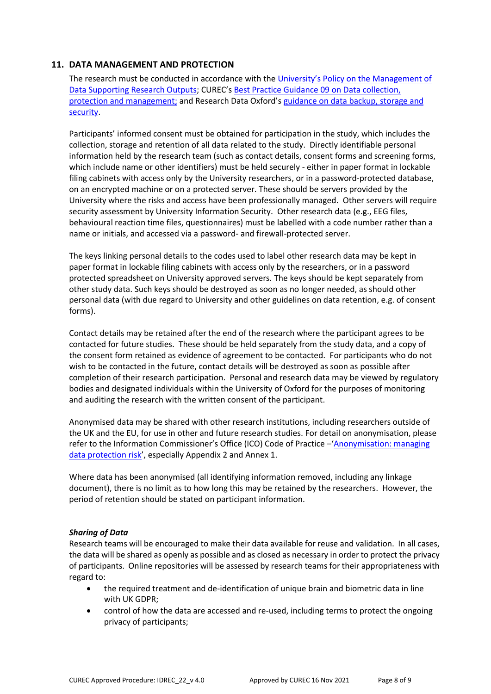### **11. DATA MANAGEMENT AND PROTECTION**

The research must be conducted in accordance with the [University's Policy on the](hhttps://researchdata.ox.ac.uk/university-of-oxford-policy-on-the-management-of-data-supporting-research-outputs/) Management of [Data Supporting Research Outputs;](hhttps://researchdata.ox.ac.uk/university-of-oxford-policy-on-the-management-of-data-supporting-research-outputs/) CUREC's [Best Practice Guidance 09](https://researchsupport.admin.ox.ac.uk/governance/ethics/resources/bpg) on Data collection, [protection and management;](https://researchsupport.admin.ox.ac.uk/governance/ethics/resources/bpg) and Research Data Oxford's [guidance on data backup, storage and](https://researchdata.ox.ac.uk/home/managing-your-data-at-oxford/storage-and-backup)  [security.](https://researchdata.ox.ac.uk/home/managing-your-data-at-oxford/storage-and-backup)

Participants' informed consent must be obtained for participation in the study, which includes the collection, storage and retention of all data related to the study. Directly identifiable personal information held by the research team (such as contact details, consent forms and screening forms, which include name or other identifiers) must be held securely - either in paper format in lockable filing cabinets with access only by the University researchers, or in a password-protected database, on an encrypted machine or on a protected server. These should be servers provided by the University where the risks and access have been professionally managed. Other servers will require security assessment by University Information Security. Other research data (e.g., EEG files, behavioural reaction time files, questionnaires) must be labelled with a code number rather than a name or initials, and accessed via a password- and firewall-protected server.

The keys linking personal details to the codes used to label other research data may be kept in paper format in lockable filing cabinets with access only by the researchers, or in a password protected spreadsheet on University approved servers. The keys should be kept separately from other study data. Such keys should be destroyed as soon as no longer needed, as should other personal data (with due regard to University and other guidelines on data retention, e.g. of consent forms).

Contact details may be retained after the end of the research where the participant agrees to be contacted for future studies. These should be held separately from the study data, and a copy of the consent form retained as evidence of agreement to be contacted. For participants who do not wish to be contacted in the future, contact details will be destroyed as soon as possible after completion of their research participation. Personal and research data may be viewed by regulatory bodies and designated individuals within the University of Oxford for the purposes of monitoring and auditing the research with the written consent of the participant.

Anonymised data may be shared with other research institutions, including researchers outside of the UK and the EU, for use in other and future research studies. For detail on anonymisation, please refer to the Information Commissioner's Office (ICO) Code of Practice - 'Anonymisation: managing [data protection risk](https://ico.org.uk/media/1061/anonymisation-code.pdf)', especially Appendix 2 and Annex 1.

Where data has been anonymised (all identifying information removed, including any linkage document), there is no limit as to how long this may be retained by the researchers. However, the period of retention should be stated on participant information.

### *Sharing of Data*

Research teams will be encouraged to make their data available for reuse and validation. In all cases, the data will be shared as openly as possible and as closed as necessary in order to protect the privacy of participants. Online repositories will be assessed by research teams for their appropriateness with regard to:

- the required treatment and de-identification of unique brain and biometric data in line with UK GDPR;
- control of how the data are accessed and re-used, including terms to protect the ongoing privacy of participants;